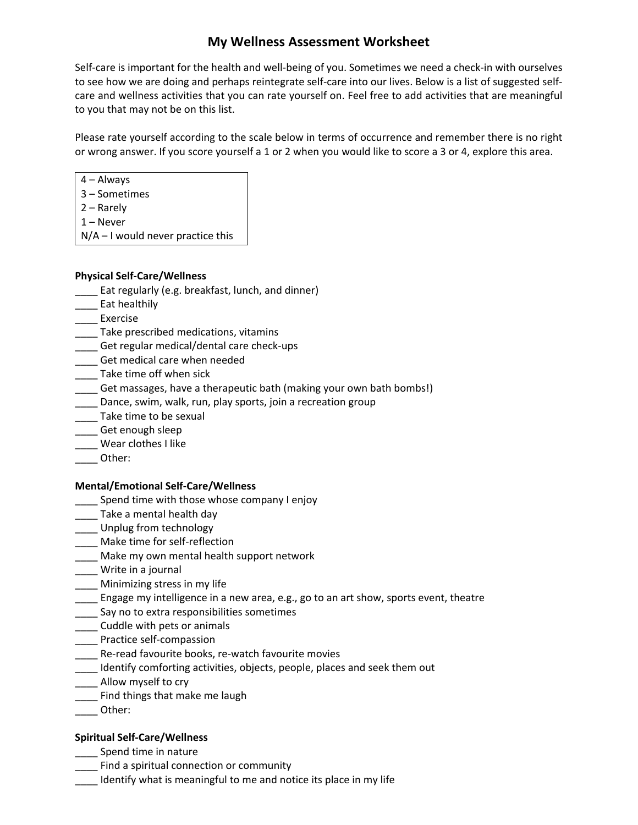# **My Wellness Assessment Worksheet**

Self-care is important for the health and well-being of you. Sometimes we need a check-in with ourselves to see how we are doing and perhaps reintegrate self-care into our lives. Below is a list of suggested selfcare and wellness activities that you can rate yourself on. Feel free to add activities that are meaningful to you that may not be on this list.

Please rate yourself according to the scale below in terms of occurrence and remember there is no right or wrong answer. If you score yourself a 1 or 2 when you would like to score a 3 or 4, explore this area.

4 – Always

- 3 Sometimes
- 2 Rarely
- 1 Never

 $N/A - I$  would never practice this

### **Physical Self-Care/Wellness**

- \_\_\_\_ Eat regularly (e.g. breakfast, lunch, and dinner)
- \_\_\_\_ Eat healthily
- \_\_\_\_ Exercise
- \_\_\_\_ Take prescribed medications, vitamins
- \_\_\_\_ Get regular medical/dental care check-ups
- \_\_\_ Get medical care when needed
- \_\_\_\_ Take time off when sick
- \_\_\_\_ Get massages, have a therapeutic bath (making your own bath bombs!)
- Dance, swim, walk, run, play sports, join a recreation group
- \_\_\_\_ Take time to be sexual
- \_\_\_\_ Get enough sleep
- \_\_\_\_ Wear clothes I like
- \_\_\_\_ Other:

### **Mental/Emotional Self-Care/Wellness**

- \_\_\_\_ Spend time with those whose company I enjoy
- \_\_\_\_ Take a mental health day
- \_\_\_\_ Unplug from technology
- \_\_\_\_ Make time for self-reflection
- \_\_\_\_ Make my own mental health support network
- \_\_\_\_ Write in a journal
- \_\_\_\_ Minimizing stress in my life
- \_\_\_\_ Engage my intelligence in a new area, e.g., go to an art show, sports event, theatre
- \_\_\_\_ Say no to extra responsibilities sometimes
- \_\_\_\_ Cuddle with pets or animals
- \_\_\_\_ Practice self-compassion
- Lacker Re-read favourite books, re-watch favourite movies
- \_\_\_\_ Identify comforting activities, objects, people, places and seek them out
- \_\_\_\_ Allow myself to cry
- \_\_\_\_ Find things that make me laugh
- \_\_\_\_ Other:

### **Spiritual Self-Care/Wellness**

- \_\_\_\_ Spend time in nature
- \_\_\_\_ Find a spiritual connection or community
- \_\_\_\_ Identify what is meaningful to me and notice its place in my life